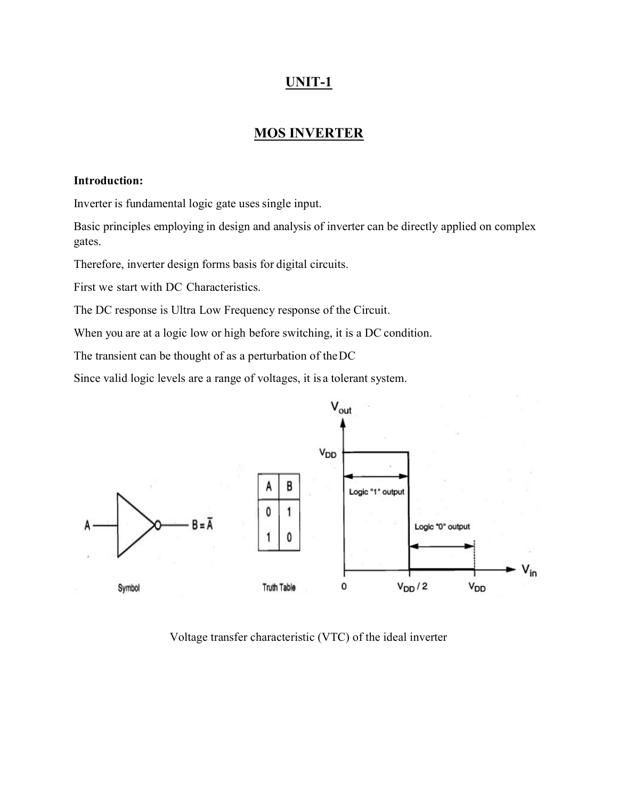## UNIT-1

### MOS INVERTER

#### Introduction:

Inverter is fundamental logic gate uses single input.

Basic principles employing in design and analysis of inverter can be directly applied on complex gates.

Therefore, inverter design forms basis for digital circuits.

First we start with DC Characteristics.

The DC response is Ultra Low Frequency response of the Circuit.

When you are at a logic low or high before switching, it is a DC condition.

The transient can be thought of as a perturbation of the DC

Since valid logic levels are a range of voltages, it is a tolerant system.



Voltage transfer characteristic (VTC) of the ideal inverter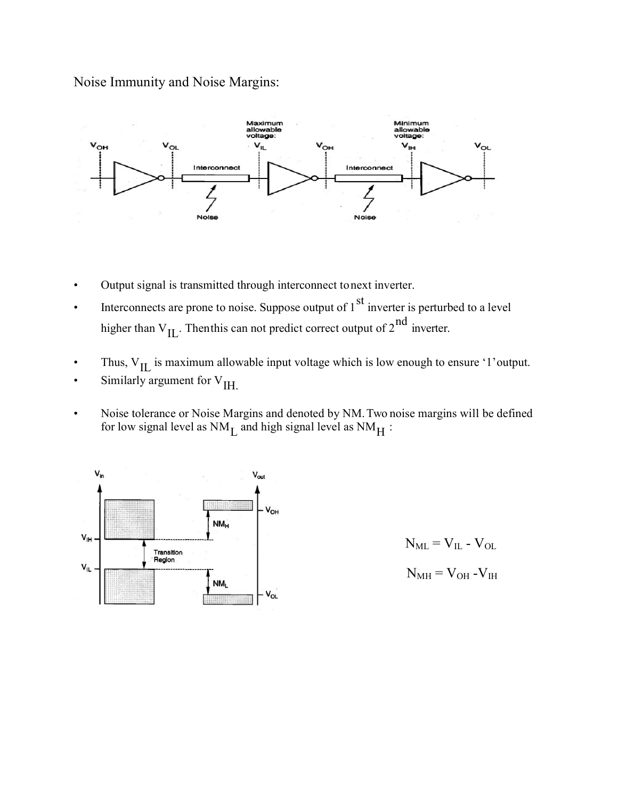Noise Immunity and Noise Margins:



- Output signal is transmitted through interconnect to next inverter.
- Interconnects are prone to noise. Suppose output of  $1<sup>st</sup>$  inverter is perturbed to a level higher than  $V_{IL}$ . Then this can not predict correct output of  $2^{nd}$  inverter.
- Thus,  $V_{II}$  is maximum allowable input voltage which is low enough to ensure '1' output.
- Similarly argument for  $V_{\text{IH}}$ .
- Noise tolerance or Noise Margins and denoted by NM. Two noise margins will be defined for low signal level as  $NM_{\text{L}}$  and high signal level as  $NM_{\text{H}}$ :